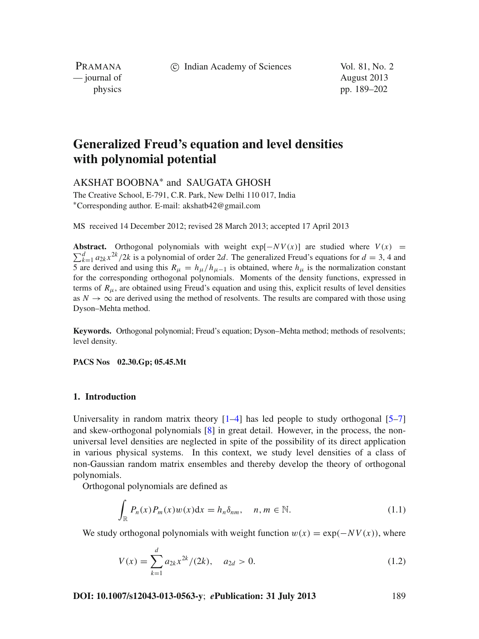c Indian Academy of Sciences Vol. 81, No. 2

PRAMANA — journal of August 2013

physics pp. 189–202

# **Generalized Freud's equation and level densities with polynomial potential**

AKSHAT BOOBNA<sup>∗</sup> and SAUGATA GHOSH

The Creative School, E-791, C.R. Park, New Delhi 110 017, India <sup>∗</sup>Corresponding author. E-mail: akshatb42@gmail.com

MS received 14 December 2012; revised 28 March 2013; accepted 17 April 2013

**Abstract.** Orthogonal polynomials with weight  $\exp[-NV(x)]$  are studied where  $V(x) = \nabla^d$  and  $\exp\{2\pi i x / 2k\}$  is a polynomial of order 2d. The generalized Fraud's equations for  $d = 3, 4$  and  $\sum_{k=1}^{d} a_{2k} x^{2k}$ /2*k* is a polynomial of order 2*d*. The generalized Freud's equations for  $d = 3$ , 4 and 5 are derived and using this  $R_{\mu} = h_{\mu}/h_{\mu-1}$  is obtained, where  $h_{\mu}$  is the normalization constant for the corresponding orthogonal polynomials. Moments of the density functions, expressed in terms of  $R_{\mu}$ , are obtained using Freud's equation and using this, explicit results of level densities as  $N \to \infty$  are derived using the method of resolvents. The results are compared with those using Dyson–Mehta method.

**Keywords.** Orthogonal polynomial; Freud's equation; Dyson–Mehta method; methods of resolvents; level density.

**PACS Nos 02.30.Gp; 05.45.Mt**

# **1. Introduction**

Universality in random matrix theory  $[1-4]$  $[1-4]$  has led people to study orthogonal  $[5-7]$  $[5-7]$ and skew-orthogonal polynomials [\[8\]](#page-13-4) in great detail. However, in the process, the nonuniversal level densities are neglected in spite of the possibility of its direct application in various physical systems. In this context, we study level densities of a class of non-Gaussian random matrix ensembles and thereby develop the theory of orthogonal polynomials.

Orthogonal polynomials are defined as

<span id="page-0-1"></span>
$$
\int_{\mathbb{R}} P_n(x) P_m(x) w(x) dx = h_n \delta_{nm}, \quad n, m \in \mathbb{N}.
$$
\n(1.1)

We study orthogonal polynomials with weight function  $w(x) = \exp(-NV(x))$ , where

$$
V(x) = \sum_{k=1}^{d} a_{2k} x^{2k} / (2k), \quad a_{2d} > 0.
$$
 (1.2)

**DOI: 10.1007/s12043-013-0563-y**; *e***Publication: 31 July 2013** 189

<span id="page-0-0"></span>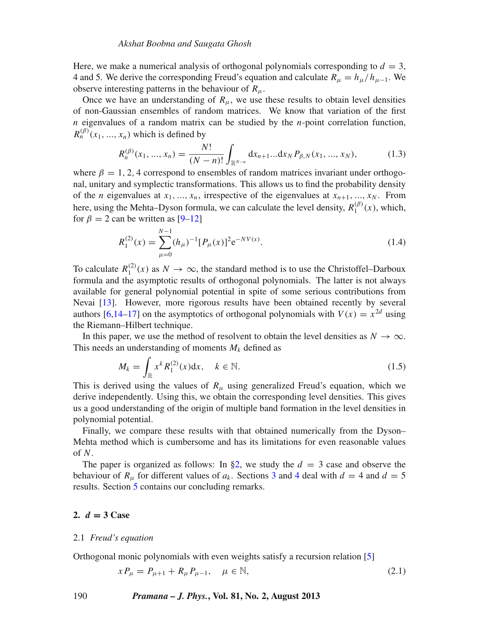Here, we make a numerical analysis of orthogonal polynomials corresponding to  $d = 3$ . 4 and 5. We derive the corresponding Freud's equation and calculate  $R_\mu = h_\mu / h_{\mu-1}$ . We observe interesting patterns in the behaviour of  $R_\mu$ .

Once we have an understanding of  $R_{\mu}$ , we use these results to obtain level densities of non-Gaussian ensembles of random matrices. We know that variation of the first *n* eigenvalues of a random matrix can be studied by the *n*-point correlation function,  $R_n^{(\beta)}(x_1, ..., x_n)$  which is defined by

$$
R_n^{(\beta)}(x_1, ..., x_n) = \frac{N!}{(N-n)!} \int_{\mathbb{R}^{N-n}} dx_{n+1} ... dx_N P_{\beta, N}(x_1, ..., x_N),
$$
 (1.3)

where  $\beta = 1, 2, 4$  correspond to ensembles of random matrices invariant under orthogonal, unitary and symplectic transformations. This allows us to find the probability density of the *n* eigenvalues at  $x_1, ..., x_n$ , irrespective of the eigenvalues at  $x_{n+1}, ..., x_N$ . From here, using the Mehta–Dyson formula, we can calculate the level density,  $R_1^{(\beta)}(x)$ , which, for  $\beta = 2$  can be written as [\[9](#page-13-5)[–12](#page-13-6)]

<span id="page-1-3"></span>
$$
R_1^{(2)}(x) = \sum_{\mu=0}^{N-1} (h_{\mu})^{-1} [P_{\mu}(x)]^2 e^{-NV(x)}.
$$
 (1.4)

To calculate  $R_1^{(2)}(x)$  as  $N \to \infty$ , the standard method is to use the Christoffel–Darboux formula and the asymptotic results of orthogonal polynomials. The latter is not always available for general polynomial potential in spite of some serious contributions from Nevai [\[13\]](#page-13-7). However, more rigorous results have been obtained recently by several authors [\[6](#page-13-8)[,14](#page-13-9)[–17\]](#page-13-10) on the asymptotics of orthogonal polynomials with  $V(x) = x^{2d}$  using the Riemann–Hilbert technique.

In this paper, we use the method of resolvent to obtain the level densities as  $N \to \infty$ . This needs an understanding of moments  $M_k$  defined as

<span id="page-1-2"></span>
$$
M_k = \int_{\mathbb{R}} x^k R_1^{(2)}(x) \mathrm{d}x, \quad k \in \mathbb{N}.
$$
 (1.5)

This is derived using the values of  $R_\mu$  using generalized Freud's equation, which we derive independently. Using this, we obtain the corresponding level densities. This gives us a good understanding of the origin of multiple band formation in the level densities in polynomial potential.

Finally, we compare these results with that obtained numerically from the Dyson– Mehta method which is cumbersome and has its limitations for even reasonable values of *N*.

The paper is organized as follows: In [§2,](#page-1-0) we study the  $d = 3$  case and observe the behaviour of  $R_\mu$  for different values of  $a_k$ . Sections [3](#page-8-0) and [4](#page-9-0) deal with  $d = 4$  and  $d = 5$ results. Section [5](#page-11-0) contains our concluding remarks.

# <span id="page-1-0"></span>**2.**  $d = 3$  Case

## 2.1 *Freud's equation*

Orthogonal monic polynomials with even weights satisfy a recursion relation [\[5\]](#page-13-2)

<span id="page-1-1"></span>
$$
xP_{\mu} = P_{\mu+1} + R_{\mu}P_{\mu-1}, \quad \mu \in \mathbb{N},
$$
\n(2.1)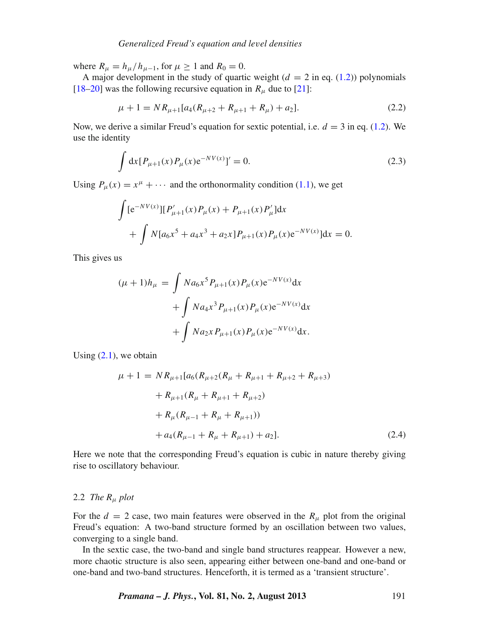# *Generalized Freud's equation and le*v*el densities*

where  $R_{\mu} = h_{\mu}/h_{\mu-1}$ , for  $\mu \ge 1$  and  $R_0 = 0$ .

A major development in the study of quartic weight  $(d = 2$  in eq. [\(1.2\)](#page-0-0)) polynomials [\[18](#page-13-11)[–20](#page-13-12)] was the following recursive equation in  $R_\mu$  due to [\[21](#page-13-13)]:

$$
\mu + 1 = NR_{\mu+1}[a_4(R_{\mu+2} + R_{\mu+1} + R_{\mu}) + a_2].
$$
\n(2.2)

Now, we derive a similar Freud's equation for sextic potential, i.e.  $d = 3$  in eq. [\(1.2\)](#page-0-0). We use the identity

$$
\int dx [P_{\mu+1}(x)P_{\mu}(x)e^{-NV(x)}]' = 0.
$$
\n(2.3)

Using  $P_{\mu}(x) = x^{\mu} + \cdots$  and the orthonormality condition [\(1.1\)](#page-0-1), we get

$$
\int [e^{-NV(x)}][P'_{\mu+1}(x)P_{\mu}(x) + P_{\mu+1}(x)P'_{\mu}]dx + \int N[a_6x^5 + a_4x^3 + a_2x]P_{\mu+1}(x)P_{\mu}(x)e^{-NV(x)}]dx = 0.
$$

This gives us

$$
(\mu + 1)h_{\mu} = \int Na_6x^5 P_{\mu+1}(x)P_{\mu}(x)e^{-NV(x)}dx
$$

$$
+ \int Na_4x^3 P_{\mu+1}(x)P_{\mu}(x)e^{-NV(x)}dx
$$

$$
+ \int Na_2x P_{\mu+1}(x)P_{\mu}(x)e^{-NV(x)}dx.
$$

Using  $(2.1)$ , we obtain

<span id="page-2-0"></span>
$$
\mu + 1 = NR_{\mu+1}[a_6(R_{\mu+2}(R_{\mu} + R_{\mu+1} + R_{\mu+2} + R_{\mu+3})
$$
  
+  $R_{\mu+1}(R_{\mu} + R_{\mu+1} + R_{\mu+2})$   
+  $R_{\mu}(R_{\mu-1} + R_{\mu} + R_{\mu+1}))$   
+  $a_4(R_{\mu-1} + R_{\mu} + R_{\mu+1}) + a_2].$  (2.4)

Here we note that the corresponding Freud's equation is cubic in nature thereby giving rise to oscillatory behaviour.

# 2.2 *The R*<sup>μ</sup> *plot*

For the  $d = 2$  case, two main features were observed in the  $R_{\mu}$  plot from the original Freud's equation: A two-band structure formed by an oscillation between two values, converging to a single band.

In the sextic case, the two-band and single band structures reappear. However a new, more chaotic structure is also seen, appearing either between one-band and one-band or one-band and two-band structures. Henceforth, it is termed as a 'transient structure'.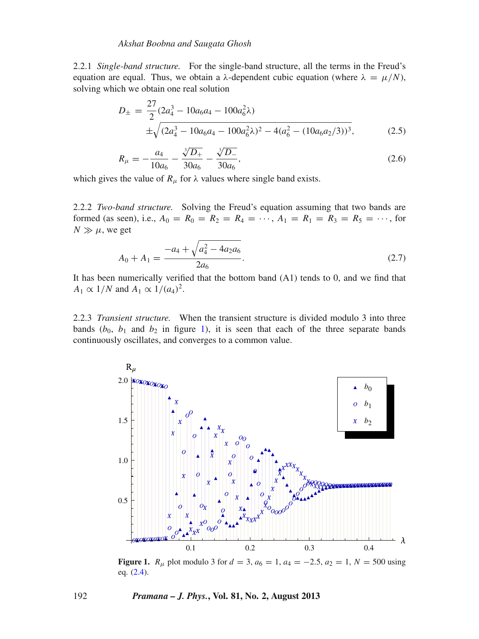2.2.1 *Single-band structure.* For the single-band structure, all the terms in the Freud's equation are equal. Thus, we obtain a  $\lambda$ -dependent cubic equation (where  $\lambda = \mu/N$ ), solving which we obtain one real solution

$$
D_{\pm} = \frac{27}{2} (2a_4^3 - 10a_6a_4 - 100a_6^2\lambda)
$$
  
 
$$
\pm \sqrt{(2a_4^3 - 10a_6a_4 - 100a_6^2\lambda)^2 - 4(a_6^2 - (10a_6a_2/3))^3},
$$
 (2.5)

$$
R_{\mu} = -\frac{a_4}{10a_6} - \frac{\sqrt[3]{D_+}}{30a_6} - \frac{\sqrt[3]{D_-}}{30a_6},
$$
\n(2.6)

which gives the value of  $R_\mu$  for  $\lambda$  values where single band exists.

2.2.2 *Two-band structure.* Solving the Freud's equation assuming that two bands are formed (as seen), i.e.,  $A_0 = R_0 = R_2 = R_4 = \cdots$ ,  $A_1 = R_1 = R_3 = R_5 = \cdots$ , for  $N \gg \mu$ , we get

$$
A_0 + A_1 = \frac{-a_4 + \sqrt{a_4^2 - 4a_2 a_6}}{2a_6}.
$$
\n(2.7)

It has been numerically verified that the bottom band (A1) tends to 0, and we find that *A*<sub>1</sub>  $\propto$  1/*N* and *A*<sub>1</sub>  $\propto$  1/(*a*<sub>4</sub>)<sup>2</sup>.

2.2.3 *Transient structure.* When the transient structure is divided modulo 3 into three bands  $(b_0, b_1$  and  $b_2$  in figure [1\)](#page-3-0), it is seen that each of the three separate bands continuously oscillates, and converges to a common value.

<span id="page-3-0"></span>

**Figure 1.**  $R_{\mu}$  plot modulo 3 for  $d = 3$ ,  $a_6 = 1$ ,  $a_4 = -2.5$ ,  $a_2 = 1$ ,  $N = 500$  using eq. [\(2.4\)](#page-2-0).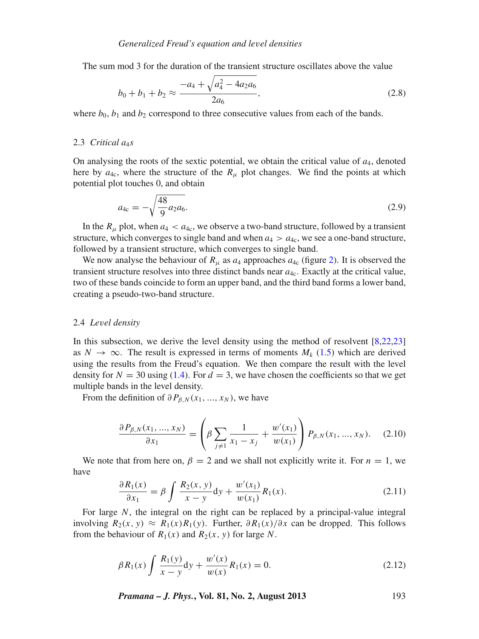The sum mod 3 for the duration of the transient structure oscillates above the value

$$
b_0 + b_1 + b_2 \approx \frac{-a_4 + \sqrt{a_4^2 - 4a_2 a_6}}{2a_6},
$$
\n(2.8)

where  $b_0$ ,  $b_1$  and  $b_2$  correspond to three consecutive values from each of the bands.

## 2.3 *Critical a<sub>4</sub>s*

On analysing the roots of the sextic potential, we obtain the critical value of *a*4, denoted here by  $a_{4c}$ , where the structure of the  $R_\mu$  plot changes. We find the points at which potential plot touches 0, and obtain

$$
a_{4c} = -\sqrt{\frac{48}{9}a_2a_6}.\tag{2.9}
$$

In the  $R_{\mu}$  plot, when  $a_4 < a_{4c}$ , we observe a two-band structure, followed by a transient structure, which converges to single band and when  $a_4 > a_4$ , we see a one-band structure, followed by a transient structure, which converges to single band.

We now analyse the behaviour of  $R_\mu$  as  $a_4$  approaches  $a_{4c}$  (figure [2\)](#page-5-0). It is observed the transient structure resolves into three distinct bands near *a*4c. Exactly at the critical value, two of these bands coincide to form an upper band, and the third band forms a lower band, creating a pseudo-two-band structure.

#### <span id="page-4-1"></span>2.4 *Le*v*el density*

In this subsection, we derive the level density using the method of resolvent [\[8](#page-13-4)[,22](#page-13-14)[,23\]](#page-13-15) as  $N \to \infty$ . The result is expressed in terms of moments  $M_k$  [\(1.5\)](#page-1-2) which are derived using the results from the Freud's equation. We then compare the result with the level density for  $N = 30$  using [\(1.4\)](#page-1-3). For  $d = 3$ , we have chosen the coefficients so that we get multiple bands in the level density.

From the definition of  $\partial P_{\beta,N}(x_1,...,x_N)$ , we have

$$
\frac{\partial P_{\beta,N}(x_1, ..., x_N)}{\partial x_1} = \left(\beta \sum_{j \neq 1} \frac{1}{x_1 - x_j} + \frac{w'(x_1)}{w(x_1)}\right) P_{\beta,N}(x_1, ..., x_N). \tag{2.10}
$$

We note that from here on,  $\beta = 2$  and we shall not explicitly write it. For  $n = 1$ , we have

$$
\frac{\partial R_1(x)}{\partial x_1} = \beta \int \frac{R_2(x, y)}{x - y} dy + \frac{w'(x_1)}{w(x_1)} R_1(x).
$$
 (2.11)

<span id="page-4-0"></span>For large *N*, the integral on the right can be replaced by a principal-value integral involving *R*2(*x*, *y*) ≈ *R*1(*x*)*R*1(*y*). Further, ∂ *R*1(*x*)/∂*x* can be dropped. This follows from the behaviour of  $R_1(x)$  and  $R_2(x, y)$  for large N.

$$
\beta R_1(x) \int \frac{R_1(y)}{x - y} dy + \frac{w'(x)}{w(x)} R_1(x) = 0.
$$
 (2.12)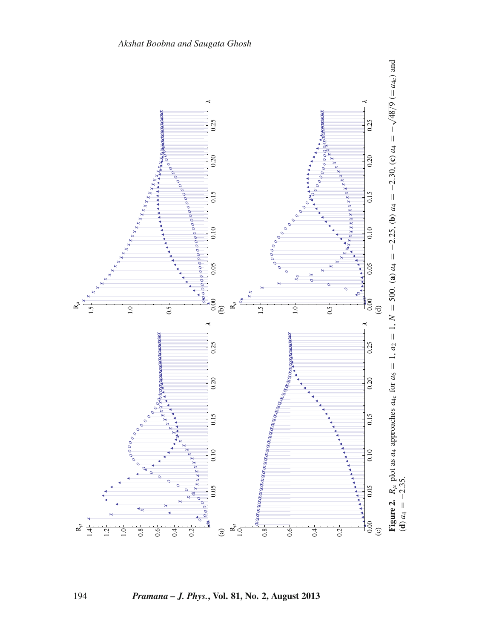

<span id="page-5-0"></span>194 *Pramana – J. Phys.***, Vol. 81, No. 2, August 2013**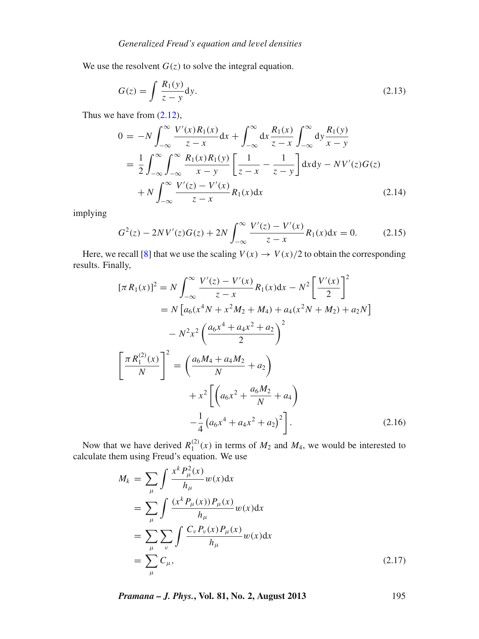We use the resolvent  $G(z)$  to solve the integral equation.

$$
G(z) = \int \frac{R_1(y)}{z - y} dy.
$$
\n(2.13)

Thus we have from [\(2.12\)](#page-4-0),

$$
0 = -N \int_{-\infty}^{\infty} \frac{V'(x)R_1(x)}{z - x} dx + \int_{-\infty}^{\infty} dx \frac{R_1(x)}{z - x} \int_{-\infty}^{\infty} dy \frac{R_1(y)}{x - y} = \frac{1}{2} \int_{-\infty}^{\infty} \int_{-\infty}^{\infty} \frac{R_1(x)R_1(y)}{x - y} \left[ \frac{1}{z - x} - \frac{1}{z - y} \right] dx dy - NV'(z)G(z) + N \int_{-\infty}^{\infty} \frac{V'(z) - V'(x)}{z - x} R_1(x) dx
$$
(2.14)

implying

$$
G^{2}(z) - 2NV'(z)G(z) + 2N \int_{-\infty}^{\infty} \frac{V'(z) - V'(x)}{z - x} R_{1}(x) dx = 0.
$$
 (2.15)

Here, we recall [\[8](#page-13-4)] that we use the scaling  $V(x) \rightarrow V(x)/2$  to obtain the corresponding results. Finally,

$$
[\pi R_1(x)]^2 = N \int_{-\infty}^{\infty} \frac{V'(z) - V'(x)}{z - x} R_1(x) dx - N^2 \left[ \frac{V'(x)}{2} \right]^2
$$
  
\n
$$
= N \left[ a_6(x^4 N + x^2 M_2 + M_4) + a_4(x^2 N + M_2) + a_2 N \right]
$$
  
\n
$$
- N^2 x^2 \left( \frac{a_6 x^4 + a_4 x^2 + a_2}{2} \right)^2
$$
  
\n
$$
\left[ \frac{\pi R_1^{(2)}(x)}{N} \right]^2 = \left( \frac{a_6 M_4 + a_4 M_2}{N} + a_2 \right)
$$
  
\n
$$
+ x^2 \left[ \left( a_6 x^2 + \frac{a_6 M_2}{N} + a_4 \right) - \frac{1}{4} \left( a_6 x^4 + a_4 x^2 + a_2 \right)^2 \right].
$$
 (2.16)

Now that we have derived  $R_1^{(2)}(x)$  in terms of  $M_2$  and  $M_4$ , we would be interested to calculate them using Freud's equation. We use

$$
M_k = \sum_{\mu} \int \frac{x^k P_{\mu}^2(x)}{h_{\mu}} w(x) dx
$$
  
= 
$$
\sum_{\mu} \int \frac{(x^k P_{\mu}(x)) P_{\mu}(x)}{h_{\mu}} w(x) dx
$$
  
= 
$$
\sum_{\mu} \sum_{\nu} \int \frac{C_{\nu} P_{\nu}(x) P_{\mu}(x)}{h_{\mu}} w(x) dx
$$
  
= 
$$
\sum_{\mu} C_{\mu},
$$
 (2.17)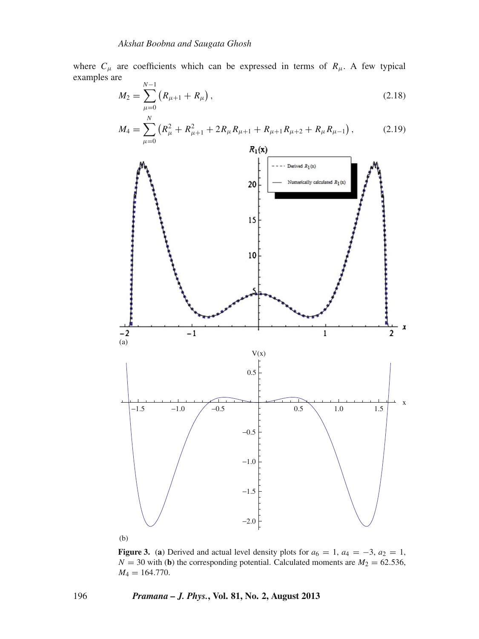where  $C_{\mu}$  are coefficients which can be expressed in terms of  $R_{\mu}$ . A few typical examples are *N*−1

$$
M_2 = \sum_{\mu=0}^{N-1} (R_{\mu+1} + R_{\mu}), \qquad (2.18)
$$

$$
M_4 = \sum_{\mu=0}^{N} \left( R_{\mu}^2 + R_{\mu+1}^2 + 2R_{\mu}R_{\mu+1} + R_{\mu+1}R_{\mu+2} + R_{\mu}R_{\mu-1} \right), \tag{2.19}
$$

<span id="page-7-0"></span>

**Figure 3.** (a) Derived and actual level density plots for  $a_6 = 1$ ,  $a_4 = -3$ ,  $a_2 = 1$ ,  $N = 30$  with (**b**) the corresponding potential. Calculated moments are  $M_2 = 62.536$ ,  $M_4 = 164.770.$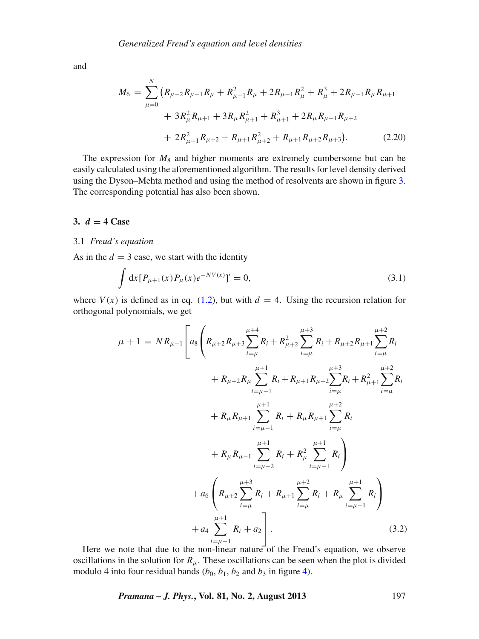and

$$
M_6 = \sum_{\mu=0}^{N} \left( R_{\mu-2} R_{\mu-1} R_{\mu} + R_{\mu-1}^2 R_{\mu} + 2 R_{\mu-1} R_{\mu}^2 + R_{\mu}^3 + 2 R_{\mu-1} R_{\mu} R_{\mu+1} + 3 R_{\mu}^2 R_{\mu+1} + 3 R_{\mu} R_{\mu+1}^2 + R_{\mu+1}^3 + 2 R_{\mu} R_{\mu+1} R_{\mu+2} + 2 R_{\mu+1}^2 R_{\mu+2} + R_{\mu+1} R_{\mu+2}^2 + R_{\mu+1} R_{\mu+2} R_{\mu+3} \right).
$$
 (2.20)

The expression for  $M_8$  and higher moments are extremely cumbersome but can be easily calculated using the aforementioned algorithm. The results for level density derived using the Dyson–Mehta method and using the method of resolvents are shown in figure [3.](#page-7-0) The corresponding potential has also been shown.

# <span id="page-8-0"></span>**3.** *d* **= 4 Case**

## 3.1 *Freud's equation*

As in the  $d = 3$  case, we start with the identity

$$
\int dx [P_{\mu+1}(x)P_{\mu}(x)e^{-NV(x)}]' = 0,
$$
\n(3.1)

where  $V(x)$  is defined as in eq. [\(1.2\)](#page-0-0), but with  $d = 4$ . Using the recursion relation for orthogonal polynomials, we get

$$
\mu + 1 = NR_{\mu+1} \left[ a_8 \left( R_{\mu+2} R_{\mu+3} \sum_{i=\mu}^{\mu+4} R_i + R_{\mu+2}^2 \sum_{i=\mu}^{\mu+3} R_i + R_{\mu+2} R_{\mu+1} \sum_{i=\mu}^{\mu+2} R_i \right. \\ \left. + R_{\mu+2} R_{\mu} \sum_{i=\mu-1}^{\mu+1} R_i + R_{\mu+1} R_{\mu+2} \sum_{i=\mu}^{\mu+3} R_i + R_{\mu+1}^2 \sum_{i=\mu}^{\mu+2} R_i \right. \\ \left. + R_{\mu} R_{\mu+1} \sum_{i=\mu-1}^{\mu+1} R_i + R_{\mu} R_{\mu+1} \sum_{i=\mu}^{\mu+2} R_i \right. \\ \left. + R_{\mu} R_{\mu-1} \sum_{i=\mu-2}^{\mu+1} R_i + R_{\mu}^2 \sum_{i=\mu-1}^{\mu+1} R_i \right) \\ \left. + a_6 \left( R_{\mu+2} \sum_{i=\mu}^{\mu+3} R_i + R_{\mu+1} \sum_{i=\mu}^{\mu+2} R_i + R_{\mu} \sum_{i=\mu-1}^{\mu+1} R_i \right) \right. \\ \left. + a_4 \sum_{i=\mu-1}^{\mu+1} R_i + a_2 \right]. \tag{3.2}
$$

Here we note that due to the non-linear nature of the Freud's equation, we observe oscillations in the solution for  $R<sub>\mu</sub>$ . These oscillations can be seen when the plot is divided modulo 4 into four residual bands  $(b_0, b_1, b_2)$  and  $b_3$  in figure [4\)](#page-9-1).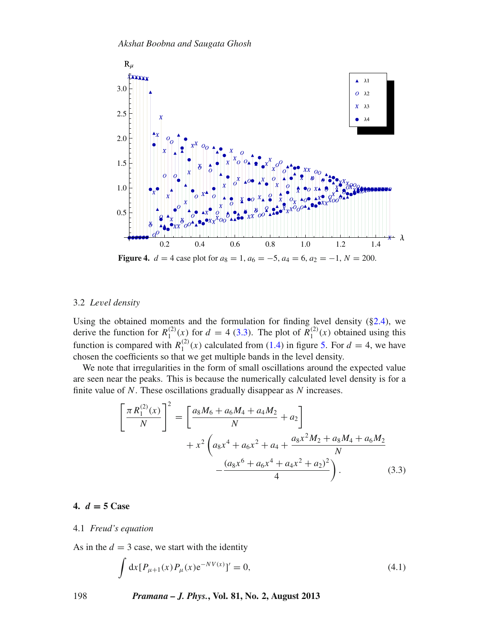<span id="page-9-1"></span>

#### 3.2 *Le*v*el density*

Using the obtained moments and the formulation for finding level density ([§2.4\)](#page-4-1), we derive the function for  $R_1^{(2)}(x)$  for  $d = 4$  [\(3.3\)](#page-9-2). The plot of  $R_1^{(2)}(x)$  obtained using this function is compared with  $R_1^{(2)}(x)$  calculated from [\(1.4\)](#page-1-3) in figure [5.](#page-10-0) For  $d = 4$ , we have chosen the coefficients so that we get multiple bands in the level density.

We note that irregularities in the form of small oscillations around the expected value are seen near the peaks. This is because the numerically calculated level density is for a finite value of *N*. These oscillations gradually disappear as *N* increases.

<span id="page-9-2"></span>
$$
\left[\frac{\pi R_1^{(2)}(x)}{N}\right]^2 = \left[\frac{a_8M_6 + a_6M_4 + a_4M_2}{N} + a_2\right] + x^2 \left(a_8x^4 + a_6x^2 + a_4 + \frac{a_8x^2M_2 + a_8M_4 + a_6M_2}{N} - \frac{(a_8x^6 + a_6x^4 + a_4x^2 + a_2)^2}{4}\right).
$$
\n(3.3)

# <span id="page-9-0"></span>**4.** *d* **= 5 Case**

## 4.1 *Freud's equation*

As in the  $d = 3$  case, we start with the identity

$$
\int dx [P_{\mu+1}(x)P_{\mu}(x)e^{-NV(x)}]' = 0,
$$
\n(4.1)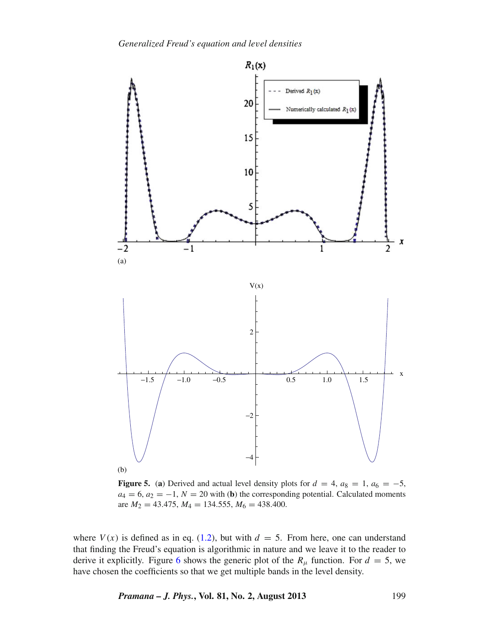<span id="page-10-0"></span>

**Figure 5.** (a) Derived and actual level density plots for  $d = 4$ ,  $a_8 = 1$ ,  $a_6 = -5$ ,  $a_4 = 6$ ,  $a_2 = -1$ ,  $N = 20$  with (**b**) the corresponding potential. Calculated moments are  $M_2 = 43.475$ ,  $M_4 = 134.555$ ,  $M_6 = 438.400$ .

where  $V(x)$  is defined as in eq. [\(1.2\)](#page-0-0), but with  $d = 5$ . From here, one can understand that finding the Freud's equation is algorithmic in nature and we leave it to the reader to derive it explicitly. Figure [6](#page-11-1) shows the generic plot of the  $R_\mu$  function. For  $d = 5$ , we have chosen the coefficients so that we get multiple bands in the level density.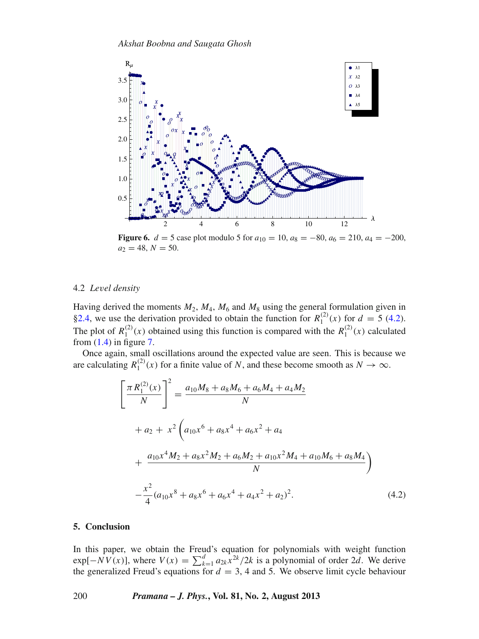<span id="page-11-1"></span>

**Figure 6.**  $d = 5$  case plot modulo 5 for  $a_{10} = 10$ ,  $a_8 = -80$ ,  $a_6 = 210$ ,  $a_4 = -200$ ,  $a_2 = 48, N = 50.$ 

## 4.2 *Le*v*el density*

Having derived the moments *M*2, *M*4, *M*<sup>6</sup> and *M*<sup>8</sup> using the general formulation given in [§2.4,](#page-4-1) we use the derivation provided to obtain the function for  $R_1^{(2)}(x)$  for  $d = 5$  [\(4.2\)](#page-11-2). The plot of  $R_1^{(2)}(x)$  obtained using this function is compared with the  $R_1^{(2)}(x)$  calculated from  $(1.4)$  in figure [7.](#page-12-0)

Once again, small oscillations around the expected value are seen. This is because we are calculating  $R_1^{(2)}(x)$  for a finite value of *N*, and these become smooth as  $N \to \infty$ .

<span id="page-11-2"></span>
$$
\left[\frac{\pi R_1^{(2)}(x)}{N}\right]^2 = \frac{a_{10}M_8 + a_8M_6 + a_6M_4 + a_4M_2}{N}
$$
  
+  $a_2 + x^2 \left(a_{10}x^6 + a_8x^4 + a_6x^2 + a_4$   
+  $\frac{a_{10}x^4M_2 + a_8x^2M_2 + a_6M_2 + a_{10}x^2M_4 + a_{10}M_6 + a_8M_4}{N}\right)$   
-  $\frac{x^2}{4}(a_{10}x^8 + a_8x^6 + a_6x^4 + a_4x^2 + a_2)^2$ . (4.2)

# <span id="page-11-0"></span>**5. Conclusion**

In this paper, we obtain the Freud's equation for polynomials with weight function  $\exp[-NV(x)]$ , where  $V(x) = \sum_{k=1}^{d} a_{2k}x^{2k}/2k$  is a polynomial of order 2*d*. We derive the generalized Freud's equations for  $d = 3$ , 4 and 5. We observe limit cycle behaviour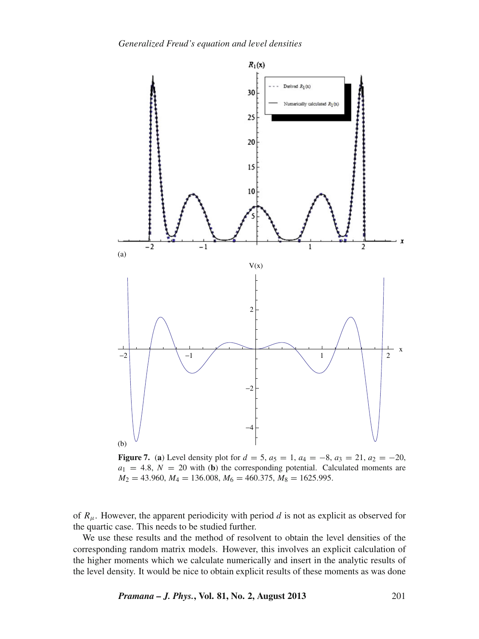<span id="page-12-0"></span>

**Figure 7.** (a) Level density plot for  $d = 5$ ,  $a_5 = 1$ ,  $a_4 = -8$ ,  $a_3 = 21$ ,  $a_2 = -20$ ,  $a_1 = 4.8$ ,  $N = 20$  with (**b**) the corresponding potential. Calculated moments are  $M_2 = 43.960$ ,  $M_4 = 136.008$ ,  $M_6 = 460.375$ ,  $M_8 = 1625.995$ .

of  $R_{\mu}$ . However, the apparent periodicity with period *d* is not as explicit as observed for the quartic case. This needs to be studied further.

We use these results and the method of resolvent to obtain the level densities of the corresponding random matrix models. However, this involves an explicit calculation of the higher moments which we calculate numerically and insert in the analytic results of the level density. It would be nice to obtain explicit results of these moments as was done